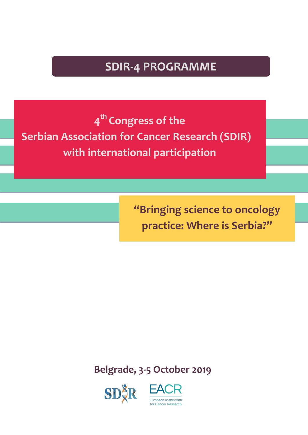# **SDIR-4 PROGRAMME**

**4th Congress of the Serbian Association for Cancer Research (SDIR) with international participation**

> **"Bringing science to oncology practice: Where is Serbia?"**

**Belgrade, 3-5 October 2019**



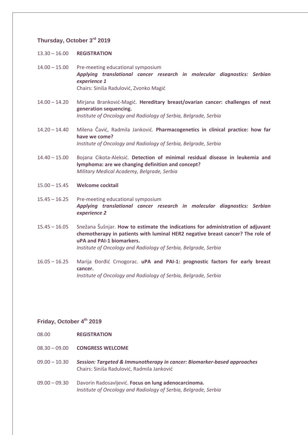# **Thursday, October 3rd 2019**

- 13.30 16.00 **REGISTRATION**
- 14.00 15.00 Pre-meeting educational symposium *Applying translational cancer research in molecular diagnostics: Serbian experience 1* Chairs: Siniša Radulović, Zvonko Magić
- 14.00 14.20 Mirjana Branković-Magić. **Hereditary breast/ovarian cancer: challenges of next generation sequencing.**  *Institute of Oncology and Radiology of Serbia, Belgrade, Serbia*
- 14.20 14.40 Milena Čavić, Radmila Janković. **Pharmacogenetics in clinical practice: how far have we come?** *Institute of Oncology and Radiology of Serbia, Belgrade, Serbia*
- 14.40 15.00 Bojana Cikota-Aleksić. **Detection of minimal residual disease in leukemia and lymphoma: are we changing definition and concept?** *Military Medical Academy, Belgrade, Serbia*
- 15.00 15.45 **Welcome cocktail**
- 15.45 16.25 Pre-meeting educational symposium *Applying translational cancer research in molecular diagnostics: Serbian experience 2*
- 15.45 16.05 Snežana Šušnjar. **How to estimate the indications for administration of adjuvant chemotherapy in patients with luminal HER2 negative breast cancer? The role of uPA and PAI-1 biomarkers.** *Institute of Oncology and Radiology of Serbia, Belgrade, Serbia*
- 16.05 16.25 Marija Đorđić Crnogorac. **uPA and PAI-1: prognostic factors for early breast cancer.** *Institute of Oncology and Radiology of Serbia, Belgrade, Serbia*

# **Friday, October 4th 2019**

- 08.00 **REGISTRATION**
- 08.30 09.00 **CONGRESS WELCOME**
- 09.00 10.30 *Session: Targeted & Immunotherapy in cancer: Biomarker-based approaches* Chairs: Siniša Radulović, Radmila Janković
- 09.00 09.30 Davorin Radosavljević. **Focus on lung adenocarcinoma.**  *Institute of Oncology and Radiology of Serbia, Belgrade, Serbia*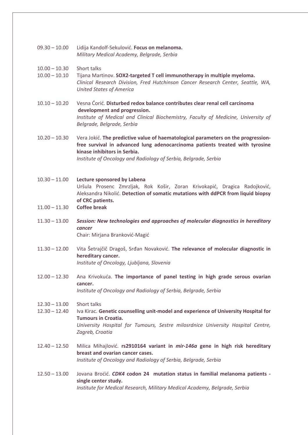09.30 – 10.00 Lidija Kandolf-Sekulović. **Focus on melanoma.** *Military Medical Academy, Belgrade, Serbia*

#### 10.00 – 10.30 Short talks

- 10.00 10.10 Tijana Martinov. **SOX2-targeted T cell immunotherapy in multiple myeloma.** *Clinical Research Division, Fred Hutchinson Cancer Research Center, Seattle, WA, United States of America*
- 10.10 10.20 Vesna Ćorić. **Disturbed redox balance contributes clear renal cell carcinoma development and progression.** Institute of Medical and Clinical Biochemistry, Faculty of Medicine, University of *Belgrade, Belgrade, Serbia*
- 10.20 10.30 Vera Jokić. **The predictive value of haematological parameters on the progressionfree survival in advanced lung adenocarcinoma patients treated with tyrosine kinase inhibitors in Serbia.** *Institute of Oncology and Radiology of Serbia, Belgrade, Serbia*
- 10.30 11.00 **Lecture sponsored by Labena** Uršula Prosenc Zmrzljak, Rok Košir, Zoran Krivokapić, Dragica Radojković, Aleksandra Nikolić. **Detection of somatic mutations with ddPCR from liquid biopsy of CRC patients.**

### 11.00 – 11.30 **Coffee break**

11.30 – 13.00 *Session: New technologies and approaches of molecular diagnostics in hereditary cancer* Chair: Mirjana Branković-Magić

11.30 – 12.00 Vita Šetrajčič Dragoš, Srđan Novaković. **The relevance of molecular diagnostic in hereditary cancer.** *Institute of Oncology, Ljubljana, Slovenia* 

12.00 – 12.30 Ana Krivokuća. **The importance of panel testing in high grade serous ovarian cancer.** *Institute of Oncology and Radiology of Serbia, Belgrade, Serbia*

12.30 – 13.00 Short talks

*Zagreb, Croatia*

- 12.30 12.40 Iva Kirac. **Genetic counselling unit-model and experience of University Hospital for Tumours in Croatia.** *University Hospital for Tumours, Sestre milosrdnice University Hospital Centre,*
- 12.40 12.50 Milica Mihajlović. **rs2910164 variant in** *mir-146a* **gene in high risk hereditary breast and ovarian cancer cases.** *Institute of Oncology and Radiology of Serbia, Belgrade, Serbia*
- 12.50 13.00 Jovana Broćić. *CDK4* **codon 24 mutation status in familial melanoma patients single center study.** *Institute for Medical Research, Military Medical Academy, Belgrade, Serbia*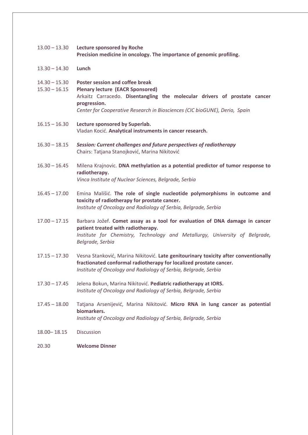- 13.00 13.30 **Lecture sponsored by Roche Precision medicine in oncology. The importance of genomic profiling.**
- 13.30 14.30 **Lunch**
- 14.30 15.30 **Poster session and coffee break**
- 15.30 16.15 **Plenary lecture (EACR Sponsored)** Arkaitz Carracedo. **Disentangling the molecular drivers of prostate cancer progression.** *Center for Cooperative Research in Biosciences (CIC bioGUNE), Derio, Spain*
- 16.15 16.30 **Lecture sponsored by Superlab.**  Vladan Kocić. **Analytical instruments in cancer research.**
- 16.30 18.15 *Session: Current challenges and future perspectives of radiotherapy* Chairs: Tatjana Stanojković, Marina Nikitović
- 16.30 16.45 Milena Krajnovic. **DNA methylation as a potential predictor of tumor response to radiotherapy.**  *Vinca Institute of Nuclear Sciences, Belgrade, Serbia*
- 16.45 17.00 Emina Mališić. **The role of single nucleotide polymorphisms in outcome and toxicity of radiotherapy for prostate cancer.** *Institute of Oncology and Radiology of Serbia, Belgrade, Serbia*
- 17.00 17.15 Barbara Jožef. **Comet assay as a tool for evaluation of DNA damage in cancer patient treated with radiotherapy.** *Institute for Chemistry, Technology and Metallurgy, University of Belgrade, Belgrade, Serbia*
- 17.15 17.30 Vesna Stanković, Marina Nikitović. **Late genitourinary toxicity after conventionally fractionated conformal radiotherapy for localized prostate cancer.** *Institute of Oncology and Radiology of Serbia, Belgrade, Serbia*
- 17.30 17.45 Jelena Bokun, Marina Nikitović. **Pediatric radiotherapy at IORS.** *Institute of Oncology and Radiology of Serbia, Belgrade, Serbia*
- 17.45 18.00 Tatjana Arsenijević, Marina Nikitović. **Micro RNA in lung cancer as potential biomarkers.** *Institute of Oncology and Radiology of Serbia, Belgrade, Serbia*
- 18.00– 18.15 Discussion
- 20.30 **Welcome Dinner**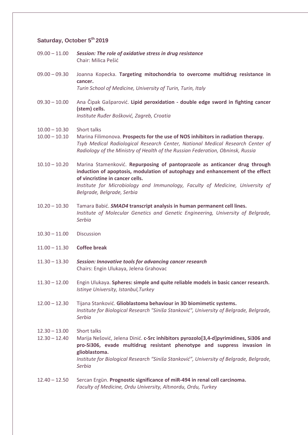# **Saturday, October 5th 2019**

- 09.00 11.00 *Session: The role of oxidative stress in drug resistance* Chair: Milica Pešić
- 09.00 09.30 Joanna Kopecka. **Targeting mitochondria to overcome multidrug resistance in cancer.** *Turin School of Medicine, University of Turin, Turin, Italy*
- 09.30 10.00 Ana Čipak Gašparović. **Lipid peroxidation - double edge sword in fighting cancer (stem) cells.** *Institute Ruđer Bošković, Zagreb, Croatia*
- 10.00 10.30 Short talks
- 10.00 10.10 Marina Filimonova. **Prospects for the use of NOS inhibitors in radiation therapy.** *Tsyb Medical Radiological Research Center, National Medical Research Center of Radiology of the Ministry of Health of the Russian Federation, Obninsk, Russia*
- 10.10 10.20 Marina Stamenković. **Repurposing of pantoprazole as anticancer drug through induction of apoptosis, modulation of autophagy and enhancement of the effect of vincristine in cancer cells.** *Institute for Microbiology and Immunology, Faculty of Medicine, University of Belgrade, Belgrade, Serbia*
- 10.20 10.30 Tamara Babić. *SMAD4* **transcript analysis in human permanent cell lines.** *Institute of Molecular Genetics and Genetic Engineering, University of Belgrade, Serbia*
- 10.30 11.00 Discussion
- 11.00 11.30 **Coffee break**
- 11.30 13.30 *Session: Innovative tools for advancing cancer research* Chairs: Engin Ulukaya, Jelena Grahovac
- 11.30 12.00 Engin Ulukaya. **Spheres: simple and quite reliable models in basic cancer research.** *Istinye University, Istanbul,Turkey*
- 12.00 12.30 Tijana Stanković. **Glioblastoma behaviour in 3D biomimetic systems.** *Institute for Biological Research "Siniša Stanković", University of Belgrade, Belgrade, Serbia*
- 12.30 13.00 Short talks
- 12.30 12.40 Marija Nešović, Jelena Dinić. **c-Src inhibitors pyrozolo[3,4-d]pyrimidines, Si306 and pro-Si306, evade multidrug resistant phenotype and suppress invasion in glioblastoma.** *Institute for Biological Research "Siniša Stanković", University of Belgrade, Belgrade, Serbia*
- 12.40 12.50 Sercan Ergün. **Prognostic significance of miR-494 in renal cell carcinoma.** *Faculty of Medicine, Ordu University, Altınordu, Ordu, Turkey*